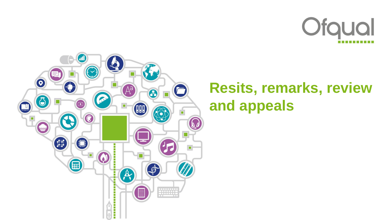



# **Resits, remarks, review and appeals**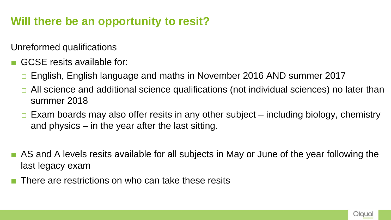### **Will there be an opportunity to resit?**

Unreformed qualifications

- GCSE resits available for:
	- English, English language and maths in November 2016 AND summer 2017
	- All science and additional science qualifications (not individual sciences) no later than summer 2018
	- Exam boards may also offer resits in any other subject including biology, chemistry and physics – in the year after the last sitting.
- AS and A levels resits available for all subjects in May or June of the year following the last legacy exam
- There are restrictions on who can take these resits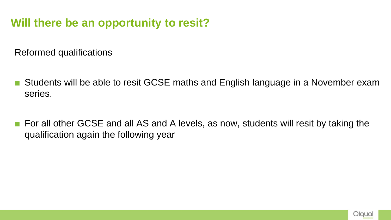#### **Will there be an opportunity to resit?**

Reformed qualifications

- Students will be able to resit GCSE maths and English language in a November exam series.
- For all other GCSE and all AS and A levels, as now, students will resit by taking the qualification again the following year

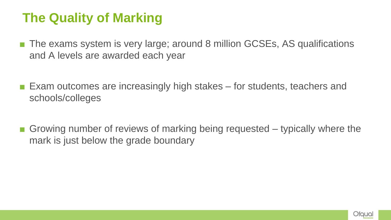### **The Quality of Marking**

- The exams system is very large; around 8 million GCSEs, AS qualifications and A levels are awarded each year
- Exam outcomes are increasingly high stakes for students, teachers and schools/colleges
- $\blacksquare$  Growing number of reviews of marking being requested typically where the mark is just below the grade boundary